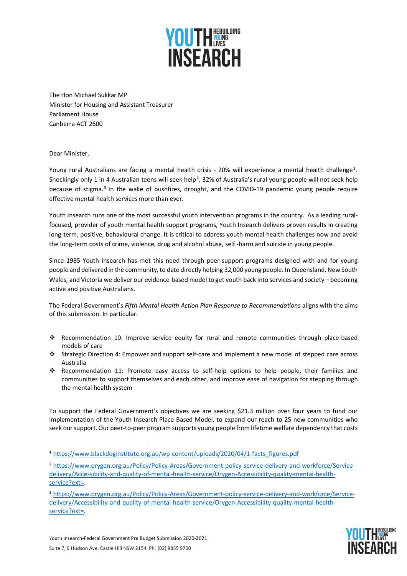

The Hon Michael Sukkar MP Minister for Housing and Assistant Treasurer Parliament House Canberra ACT 2600

Dear Minister,

Young rural Australians are facing a mental health crisis - 20% will experience a mental health challenge<sup>[1](#page-0-0)</sup>. Shockingly only 1 in 4 Australian teens will seek help<sup>[2](#page-0-1)</sup>. 32% of Australia's rural young people will not seek help because of stigma.<sup>[3](#page-0-2)</sup> In the wake of bushfires, drought, and the COVID-19 pandemic young people require effective mental health services more than ever.

Youth Insearch runs one of the most successful youth intervention programs in the country. As a leading ruralfocused, provider of youth mental health support programs, Youth Insearch delivers proven results in creating long-term, positive, behavioural change. It is critical to address youth mental health challenges now and avoid the long-term costs of crime, violence, drug and alcohol abuse, self -harm and suicide in young people.

Since 1985 Youth Insearch has met this need through peer-support programs designed with and for young people and delivered in the community, to date directly helping 32,000 young people. In Queensland, New South Wales, and Victoria we deliver our evidence-based model to get youth back into services and society – becoming active and positive Australians.

The Federal Government's *Fifth Mental Health Action Plan Response to Recommendations* aligns with the aims of this submission. In particular:

- Recommendation 10: Improve service equity for rural and remote communities through place-based models of care
- Strategic Direction 4: Empower and support self-care and implement a new model of stepped care across Australia
- Recommendation 11: Promote easy access to self-help options to help people, their families and communities to support themselves and each other, and improve ease of navigation for stepping through the mental health system

To support the Federal Government's objectives we are seeking \$21.3 million over four years to fund our implementation of the Youth Insearch Place Based Model, to expand our reach to 25 new communities who seek our support. Our peer-to-peer program supports young people from lifetime welfare dependency that costs

<span id="page-0-2"></span><sup>3</sup> [https://www.orygen.org.au/Policy/Policy-Areas/Government-policy-service-delivery-and-workforce/Service](about:blank)[delivery/Accessibility-and-quality-of-mental-health-service/Orygen-Accessibility-quality-mental-health](about:blank)[service?ext=.](about:blank)



<span id="page-0-0"></span><sup>1</sup> [https://www.blackdoginstitute.org.au/wp-content/uploads/2020/04/1-facts\\_figures.pdf](about:blank)

<span id="page-0-1"></span><sup>2</sup> [https://www.orygen.org.au/Policy/Policy-Areas/Government-policy-service-delivery-and-workforce/Service](about:blank)[delivery/Accessibility-and-quality-of-mental-health-service/Orygen-Accessibility-quality-mental-health](about:blank)[service?ext=.](about:blank)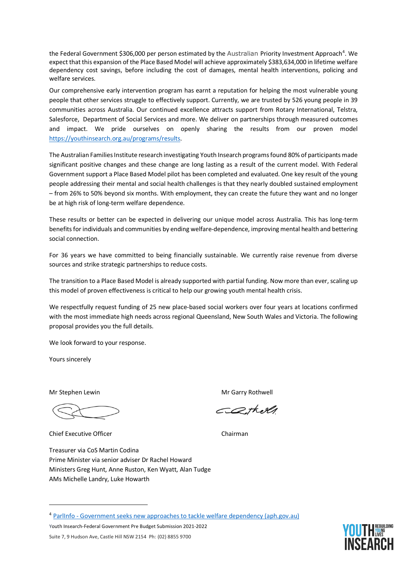the Federal Government \$306,000 per person estimated by the Australian Priority Investment Approach<sup>[4](#page-1-0)</sup>. We expect that this expansion of the Place Based Model will achieve approximately \$383,634,000 in lifetime welfare dependency cost savings, before including the cost of damages, mental health interventions, policing and welfare services.

Our comprehensive early intervention program has earnt a reputation for helping the most vulnerable young people that other services struggle to effectively support. Currently, we are trusted by 526 young people in 39 communities across Australia. Our continued excellence attracts support from Rotary International, Telstra, Salesforce, Department of Social Services and more. We deliver on partnerships through measured outcomes and impact. We pride ourselves on openly sharing the results from our proven model [https://youthinsearch.org.au/programs/results.](about:blank)

The Australian Families Institute research investigating Youth Insearch programs found 80% of participants made significant positive changes and these change are long lasting as a result of the current model. With Federal Government support a Place Based Model pilot has been completed and evaluated. One key result of the young people addressing their mental and social health challenges is that they nearly doubled sustained employment – from 26% to 50% beyond six months. With employment, they can create the future they want and no longer be at high risk of long-term welfare dependence.

These results or better can be expected in delivering our unique model across Australia. This has long-term benefits for individuals and communities by ending welfare-dependence, improving mental health and bettering social connection.

For 36 years we have committed to being financially sustainable. We currently raise revenue from diverse sources and strike strategic partnerships to reduce costs.

The transition to a Place Based Model is already supported with partial funding. Now more than ever, scaling up this model of proven effectiveness is critical to help our growing youth mental health crisis.

We respectfully request funding of 25 new place-based social workers over four years at locations confirmed with the most immediate high needs across regional Queensland, New South Wales and Victoria. The following proposal provides you the full details.

We look forward to your response.

Yours sincerely

Chief Executive Officer Chairman

Treasurer via CoS Martin Codina Prime Minister via senior adviser Dr Rachel Howard Ministers Greg Hunt, Anne Ruston, Ken Wyatt, Alan Tudge AMs Michelle Landry, Luke Howarth

Mr Stephen Lewin Mr Garry Rothwell

CQthell



<span id="page-1-0"></span><sup>4</sup> ParlInfo - [Government seeks new approaches to tackle welfare dependency \(aph.gov.au\)](https://parlinfo.aph.gov.au/parlInfo/search/display/display.w3p;query=Id:%22media/pressrel/5646325%22;src1=sm1)

Youth Insearch-Federal Government Pre Budget Submission 2021-2022 Suite 7, 9 Hudson Ave, Castle Hill NSW 2154 Ph: (02) 8855 9700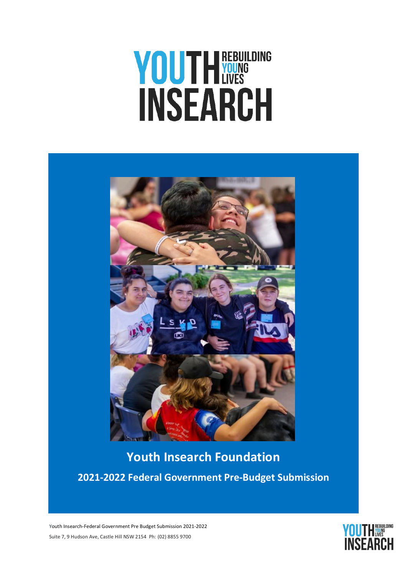# **YOUTHEREBULDING**



 **Youth Insearch Foundation 2021-2022 Federal Government Pre-Budget Submission**

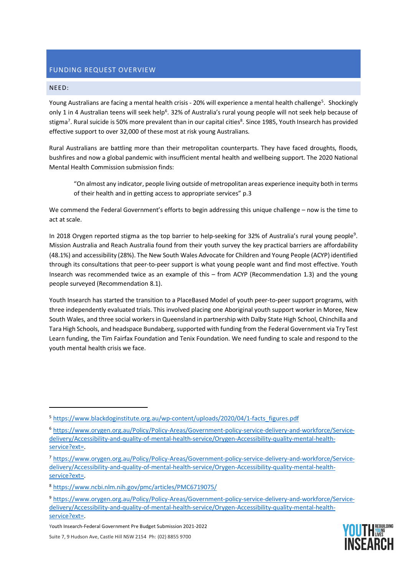# FUNDING REQUEST OVERVIEW

## NEED:

Young Australians are facing a mental health crisis - 20% will experience a mental health challenge<sup>[5](#page-3-0)</sup>. Shockingly only 1 in 4 Australian teens will seek help<sup>6</sup>. 32% of Australia's rural young people will not seek help because of stigma<sup>[7](#page-3-2)</sup>. Rural suicide is 50% more prevalent than in our capital cities<sup>[8](#page-3-3)</sup>. Since 1985, Youth Insearch has provided effective support to over 32,000 of these most at risk young Australians.

Rural Australians are battling more than their metropolitan counterparts. They have faced droughts, floods, bushfires and now a global pandemic with insufficient mental health and wellbeing support. The 2020 National Mental Health Commission submission finds:

"On almost any indicator, people living outside of metropolitan areas experience inequity both in terms of their health and in getting access to appropriate services" p.3

We commend the Federal Government's efforts to begin addressing this unique challenge – now is the time to act at scale.

In 2018 Orygen reported stigma as the top barrier to help-seeking for 32% of Australia's rural young people<sup>9</sup>. Mission Australia and Reach Australia found from their youth survey the key practical barriers are affordability (48.1%) and accessibility (28%). The New South Wales Advocate for Children and Young People (ACYP) identified through its consultations that peer-to-peer support is what young people want and find most effective. Youth Insearch was recommended twice as an example of this – from ACYP (Recommendation 1.3) and the young people surveyed (Recommendation 8.1).

Youth Insearch has started the transition to a PlaceBased Model of youth peer-to-peer support programs, with three independently evaluated trials. This involved placing one Aboriginal youth support worker in Moree, New South Wales, and three social workers in Queensland in partnership with Dalby State High School, Chinchilla and Tara High Schools, and headspace Bundaberg, supported with funding from the Federal Government via Try Test Learn funding, the Tim Fairfax Foundation and Tenix Foundation. We need funding to scale and respond to the youth mental health crisis we face.

<span id="page-3-4"></span><span id="page-3-3"></span><sup>9</sup> [https://www.orygen.org.au/Policy/Policy-Areas/Government-policy-service-delivery-and-workforce/Service](about:blank)[delivery/Accessibility-and-quality-of-mental-health-service/Orygen-Accessibility-quality-mental-health](about:blank)[service?ext=.](about:blank)





<span id="page-3-0"></span><sup>5</sup> [https://www.blackdoginstitute.org.au/wp-content/uploads/2020/04/1-facts\\_figures.pdf](about:blank)

<span id="page-3-1"></span><sup>6</sup> [https://www.orygen.org.au/Policy/Policy-Areas/Government-policy-service-delivery-and-workforce/Service](about:blank)[delivery/Accessibility-and-quality-of-mental-health-service/Orygen-Accessibility-quality-mental-health](about:blank)[service?ext=.](about:blank)

<span id="page-3-2"></span><sup>7</sup> [https://www.orygen.org.au/Policy/Policy-Areas/Government-policy-service-delivery-and-workforce/Service](about:blank)[delivery/Accessibility-and-quality-of-mental-health-service/Orygen-Accessibility-quality-mental-health](about:blank)[service?ext=.](about:blank)

<sup>8</sup> [https://www.ncbi.nlm.nih.gov/pmc/articles/PMC6719075/](about:blank)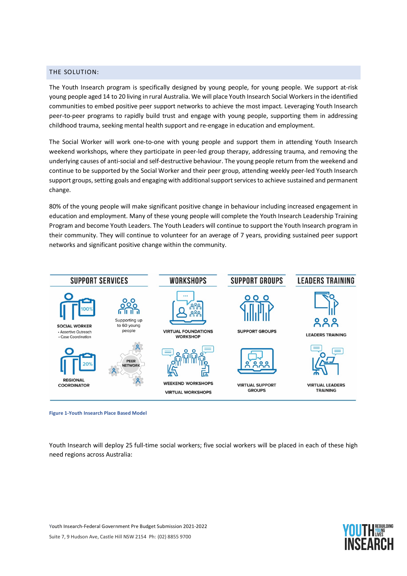## THE SOLUTION:

The Youth Insearch program is specifically designed by young people, for young people. We support at-risk young people aged 14 to 20 living in rural Australia. We will place Youth Insearch Social Workersin the identified communities to embed positive peer support networks to achieve the most impact. Leveraging Youth Insearch peer-to-peer programs to rapidly build trust and engage with young people, supporting them in addressing childhood trauma, seeking mental health support and re-engage in education and employment.

The Social Worker will work one-to-one with young people and support them in attending Youth Insearch weekend workshops, where they participate in peer-led group therapy, addressing trauma, and removing the underlying causes of anti-social and self-destructive behaviour. The young people return from the weekend and continue to be supported by the Social Worker and their peer group, attending weekly peer-led Youth Insearch support groups, setting goals and engaging with additional support services to achieve sustained and permanent change.

80% of the young people will make significant positive change in behaviour including increased engagement in education and employment. Many of these young people will complete the Youth Insearch Leadership Training Program and become Youth Leaders. The Youth Leaders will continue to support the Youth Insearch program in their community. They will continue to volunteer for an average of 7 years, providing sustained peer support networks and significant positive change within the community.



**Figure 1-Youth Insearch Place Based Model**

Youth Insearch will deploy 25 full-time social workers; five social workers will be placed in each of these high need regions across Australia:

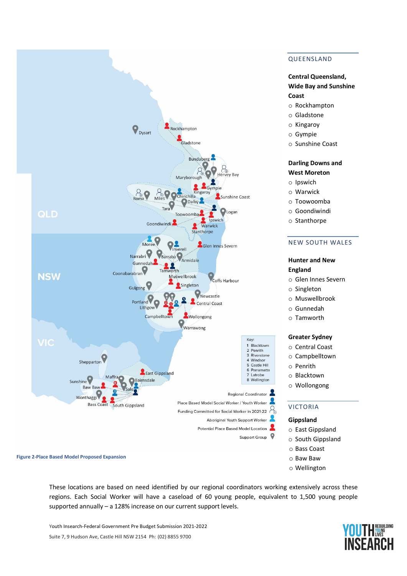

# QUEENSLAND

# **Central Queensland, Wide Bay and Sunshine Coast**

- o Rockhampton
- o Gladstone
- o Kingaroy
- o Gympie
- o Sunshine Coast

## **Darling Downs and West Moreton**

- o Ipswich
- o Warwick
- o Toowoomba
- o Goondiwindi
- o Stanthorpe

## NEW SOUTH WALES

## **Hunter and New England**

- o Glen Innes Severn
- o Singleton
- o Muswellbrook
- o Gunnedah
- o Tamworth

### **Greater Sydney**

- o Central Coast
- o Campbelltown
- o Penrith
- o Blacktown
- o Wollongong

# VICTORIA

#### **Gippsland**

- o East Gippsland
- o South Gippsland
- o Bass Coast
- o Baw Baw
- o Wellington

**Figure 2-Place Based Model Proposed Expansion**

These locations are based on need identified by our regional coordinators working extensively across these regions. Each Social Worker will have a caseload of 60 young people, equivalent to 1,500 young people supported annually – a 128% increase on our current support levels.

Youth Insearch-Federal Government Pre Budget Submission 2021-2022 Suite 7, 9 Hudson Ave, Castle Hill NSW 2154 Ph: (02) 8855 9700

# **YOUTH SERVICE ISFARCI**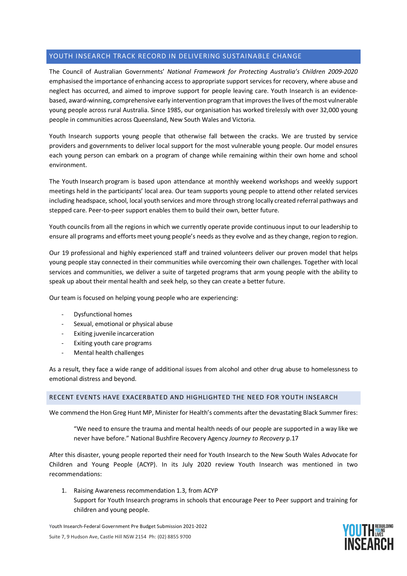# YOUTH INSEARCH TRACK RECORD IN DELIVERING SUSTAINABLE CHANGE

The Council of Australian Governments' *National Framework for Protecting Australia's Children 2009-2020* emphasised the importance of enhancing access to appropriate support services for recovery, where abuse and neglect has occurred, and aimed to improve support for people leaving care. Youth Insearch is an evidencebased, award-winning, comprehensive early intervention program that improves the lives of the most vulnerable young people across rural Australia. Since 1985, our organisation has worked tirelessly with over 32,000 young people in communities across Queensland, New South Wales and Victoria.

Youth Insearch supports young people that otherwise fall between the cracks. We are trusted by service providers and governments to deliver local support for the most vulnerable young people. Our model ensures each young person can embark on a program of change while remaining within their own home and school environment.

The Youth Insearch program is based upon attendance at monthly weekend workshops and weekly support meetings held in the participants' local area. Our team supports young people to attend other related services including headspace, school, local youth services and more through strong locally created referral pathways and stepped care. Peer-to-peer support enables them to build their own, better future.

Youth councils from all the regions in which we currently operate provide continuous input to our leadership to ensure all programs and efforts meet young people's needs as they evolve and as they change, region to region.

Our 19 professional and highly experienced staff and trained volunteers deliver our proven model that helps young people stay connected in their communities while overcoming their own challenges. Together with local services and communities, we deliver a suite of targeted programs that arm young people with the ability to speak up about their mental health and seek help, so they can create a better future.

Our team is focused on helping young people who are experiencing:

- Dysfunctional homes
- Sexual, emotional or physical abuse
- Exiting juvenile incarceration
- Exiting youth care programs
- Mental health challenges

As a result, they face a wide range of additional issues from alcohol and other drug abuse to homelessness to emotional distress and beyond.

## RECENT EVENTS HAVE EXACERBATED AND HIGHLIGHTED THE NEED FOR YOUTH INSEARCH

We commend the Hon Greg Hunt MP, Minister for Health's comments after the devastating Black Summer fires:

"We need to ensure the trauma and mental health needs of our people are supported in a way like we never have before." National Bushfire Recovery Agency *Journey to Recovery* p.17

After this disaster, young people reported their need for Youth Insearch to the New South Wales Advocate for Children and Young People (ACYP). In its July 2020 review Youth Insearch was mentioned in two recommendations:

1. Raising Awareness recommendation 1.3, from ACYP Support for Youth Insearch programs in schools that encourage Peer to Peer support and training for children and young people.

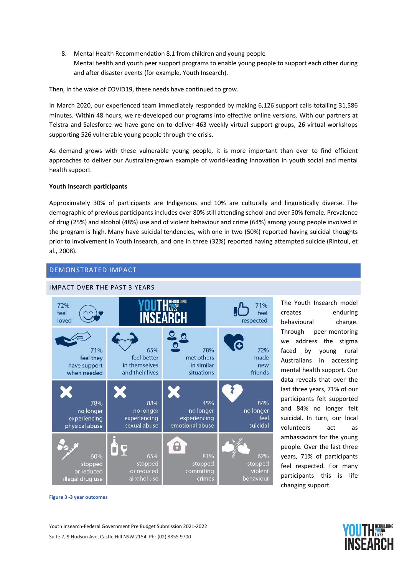8. Mental Health Recommendation 8.1 from children and young people Mental health and youth peer support programs to enable young people to support each other during and after disaster events (for example, Youth Insearch).

Then, in the wake of COVID19, these needs have continued to grow.

In March 2020, our experienced team immediately responded by making 6,126 support calls totalling 31,586 minutes. Within 48 hours, we re-developed our programs into effective online versions. With our partners at Telstra and Salesforce we have gone on to deliver 463 weekly virtual support groups, 26 virtual workshops supporting 526 vulnerable young people through the crisis.

As demand grows with these vulnerable young people, it is more important than ever to find efficient approaches to deliver our Australian-grown example of world-leading innovation in youth social and mental health support.

## **Youth Insearch participants**

Approximately 30% of participants are Indigenous and 10% are culturally and linguistically diverse. The demographic of previous participants includes over 80% still attending school and over 50% female. Prevalence of drug (25%) and alcohol (48%) use and of violent behaviour and crime (64%) among young people involved in the program is high. Many have suicidal tendencies, with one in two (50%) reported having suicidal thoughts prior to involvement in Youth Insearch, and one in three (32%) reported having attempted suicide (Rintoul, et al., 2008).

# DEMONSTRATED IMPACT



The Youth Insearch model creates enduring behavioural change. Through peer-mentoring we address the stigma faced by young rural Australians in accessing mental health support. Our data reveals that over the last three years, 71% of our participants felt supported and 84% no longer felt suicidal. In turn, our local volunteers act as ambassadors for the young people. Over the last three years, 71% of participants feel respected. For many participants this is life changing support.

**Figure 3 -3 year outcomes**

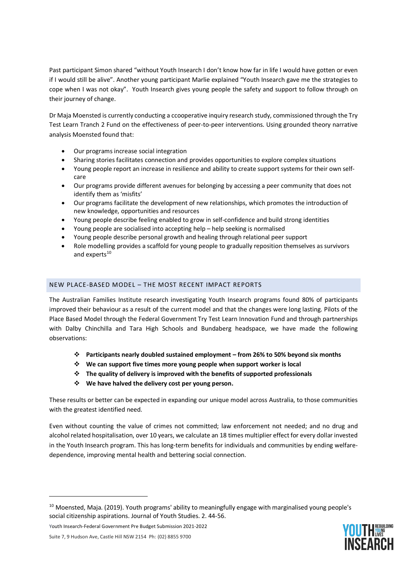Past participant Simon shared "without Youth Insearch I don't know how far in life I would have gotten or even if I would still be alive". Another young participant Marlie explained "Youth Insearch gave me the strategies to cope when I was not okay". Youth Insearch gives young people the safety and support to follow through on their journey of change.

Dr Maja Moensted is currently conducting a ccooperative inquiry research study, commissioned through the Try Test Learn Tranch 2 Fund on the effectiveness of peer-to-peer interventions. Using grounded theory narrative analysis Moensted found that:

- Our programs increase social integration
- Sharing stories facilitates connection and provides opportunities to explore complex situations
- Young people report an increase in resilience and ability to create support systems for their own selfcare
- Our programs provide different avenues for belonging by accessing a peer community that does not identify them as 'misfits'
- Our programs facilitate the development of new relationships, which promotes the introduction of new knowledge, opportunities and resources
- Young people describe feeling enabled to grow in self-confidence and build strong identities
- Young people are socialised into accepting help help seeking is normalised
- Young people describe personal growth and healing through relational peer support
- Role modelling provides a scaffold for young people to gradually reposition themselves as survivors and experts<sup>10</sup>

# NEW PLACE-BASED MODEL – THE MOST RECENT IMPACT REPORTS

The Australian Families Institute research investigating Youth Insearch programs found 80% of participants improved their behaviour as a result of the current model and that the changes were long lasting. Pilots of the Place Based Model through the Federal Government Try Test Learn Innovation Fund and through partnerships with Dalby Chinchilla and Tara High Schools and Bundaberg headspace, we have made the following observations:

- **Participants nearly doubled sustained employment – from 26% to 50% beyond six months**
- **We can support five times more young people when support worker is local**
- **The quality of delivery is improved with the benefits of supported professionals**
- **We have halved the delivery cost per young person.**

These results or better can be expected in expanding our unique model across Australia, to those communities with the greatest identified need.

Even without counting the value of crimes not committed; law enforcement not needed; and no drug and alcohol related hospitalisation, over 10 years, we calculate an 18 times multiplier effect for every dollar invested in the Youth Insearch program. This has long-term benefits for individuals and communities by ending welfaredependence, improving mental health and bettering social connection.

**YOUTH WESTERN NSFARCH** 

Youth Insearch-Federal Government Pre Budget Submission 2021-2022

<span id="page-8-0"></span><sup>&</sup>lt;sup>10</sup> Moensted, Maja. (2019). Youth programs' ability to meaningfully engage with marginalised young people's social citizenship aspirations. Journal of Youth Studies. 2. 44-56.

Suite 7, 9 Hudson Ave, Castle Hill NSW 2154 Ph: (02) 8855 9700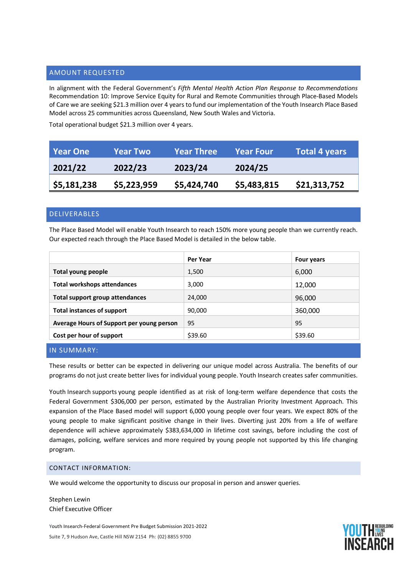# AMOUNT REQUESTED

In alignment with the Federal Government's *Fifth Mental Health Action Plan Response to Recommendations*  Recommendation 10: Improve Service Equity for Rural and Remote Communities through Place-Based Models of Care we are seeking \$21.3 million over 4 years to fund our implementation of the Youth Insearch Place Based Model across 25 communities across Queensland, New South Wales and Victoria.

Total operational budget \$21.3 million over 4 years.

| Year One                  | <b>Year Two</b> | <b>Year Three</b> | <b>Year Four</b> | <b>Total 4 years</b> |
|---------------------------|-----------------|-------------------|------------------|----------------------|
| 2021/22                   | 2022/23         | 2023/24           | 2024/25          |                      |
| $\frac{1}{2}$ \$5,181,238 | \$5,223,959     | \$5,424,740       | \$5,483,815      | \$21,313,752         |

# DELIVERABLES

The Place Based Model will enable Youth Insearch to reach 150% more young people than we currently reach. Our expected reach through the Place Based Model is detailed in the below table.

|                                           | Per Year | Four years |
|-------------------------------------------|----------|------------|
| Total young people                        | 1,500    | 6,000      |
| <b>Total workshops attendances</b>        | 3,000    | 12,000     |
| Total support group attendances           | 24,000   | 96,000     |
| <b>Total instances of support</b>         | 90,000   | 360,000    |
| Average Hours of Support per young person | 95       | 95         |
| Cost per hour of support                  | \$39.60  | \$39.60    |
|                                           |          |            |

# IN SUMMARY:

These results or better can be expected in delivering our unique model across Australia. The benefits of our programs do not just create better lives for individual young people. Youth Insearch creates safer communities.

Youth Insearch supports young people identified as at risk of long-term welfare dependence that costs the Federal Government \$306,000 per person, estimated by the Australian Priority Investment Approach. This expansion of the Place Based model will support 6,000 young people over four years. We expect 80% of the young people to make significant positive change in their lives. Diverting just 20% from a life of welfare dependence will achieve approximately \$383,634,000 in lifetime cost savings, before including the cost of damages, policing, welfare services and more required by young people not supported by this life changing program.

## CONTACT INFORMATION:

We would welcome the opportunity to discuss our proposal in person and answer queries.

Stephen Lewin Chief Executive Officer